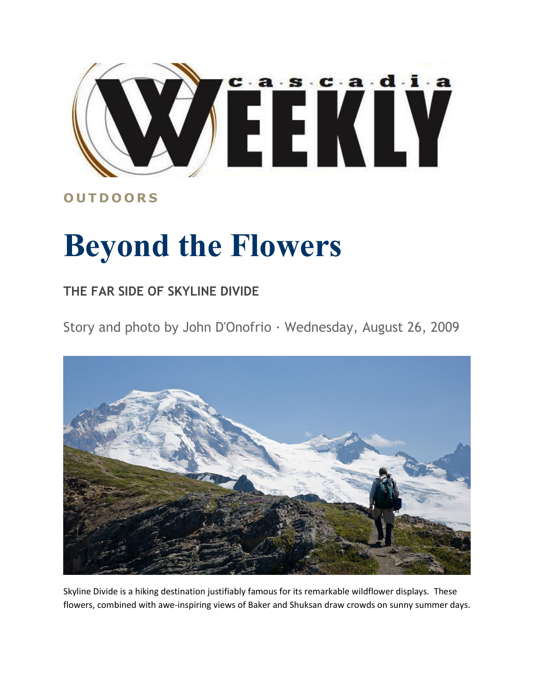

## **O U T D O O R S**

## **Beyond the Flowers**

## **THE FAR SIDE OF SKYLINE DIVIDE**

Story and photo by John D'Onofrio · Wednesday, August 26, 2009



Skyline Divide is a hiking destination justifiably famous for its remarkable wildflower displays. These flowers, combined with awe-inspiring views of Baker and Shuksan draw crowds on sunny summer days.